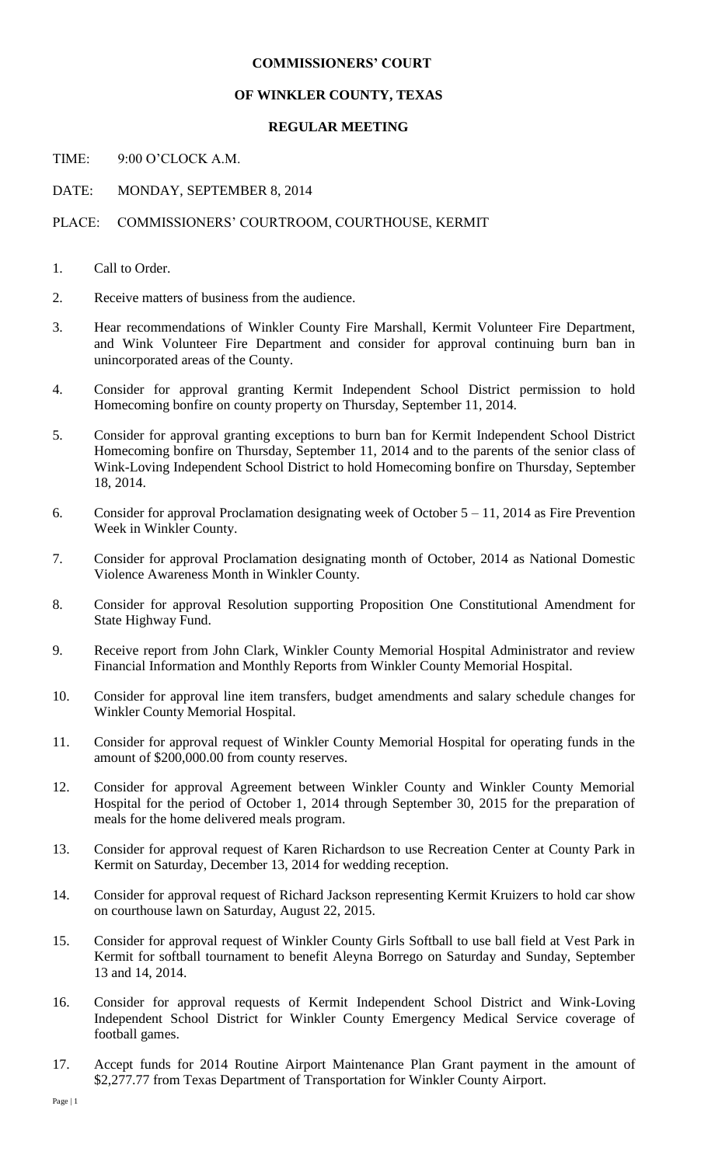## **COMMISSIONERS' COURT**

## **OF WINKLER COUNTY, TEXAS**

## **REGULAR MEETING**

TIME: 9:00 O'CLOCK A.M.

DATE: MONDAY, SEPTEMBER 8, 2014

## PLACE: COMMISSIONERS' COURTROOM, COURTHOUSE, KERMIT

- 1. Call to Order.
- 2. Receive matters of business from the audience.
- 3. Hear recommendations of Winkler County Fire Marshall, Kermit Volunteer Fire Department, and Wink Volunteer Fire Department and consider for approval continuing burn ban in unincorporated areas of the County.
- 4. Consider for approval granting Kermit Independent School District permission to hold Homecoming bonfire on county property on Thursday, September 11, 2014.
- 5. Consider for approval granting exceptions to burn ban for Kermit Independent School District Homecoming bonfire on Thursday, September 11, 2014 and to the parents of the senior class of Wink-Loving Independent School District to hold Homecoming bonfire on Thursday, September 18, 2014.
- 6. Consider for approval Proclamation designating week of October  $5 11$ , 2014 as Fire Prevention Week in Winkler County.
- 7. Consider for approval Proclamation designating month of October, 2014 as National Domestic Violence Awareness Month in Winkler County.
- 8. Consider for approval Resolution supporting Proposition One Constitutional Amendment for State Highway Fund.
- 9. Receive report from John Clark, Winkler County Memorial Hospital Administrator and review Financial Information and Monthly Reports from Winkler County Memorial Hospital.
- 10. Consider for approval line item transfers, budget amendments and salary schedule changes for Winkler County Memorial Hospital.
- 11. Consider for approval request of Winkler County Memorial Hospital for operating funds in the amount of \$200,000.00 from county reserves.
- 12. Consider for approval Agreement between Winkler County and Winkler County Memorial Hospital for the period of October 1, 2014 through September 30, 2015 for the preparation of meals for the home delivered meals program.
- 13. Consider for approval request of Karen Richardson to use Recreation Center at County Park in Kermit on Saturday, December 13, 2014 for wedding reception.
- 14. Consider for approval request of Richard Jackson representing Kermit Kruizers to hold car show on courthouse lawn on Saturday, August 22, 2015.
- 15. Consider for approval request of Winkler County Girls Softball to use ball field at Vest Park in Kermit for softball tournament to benefit Aleyna Borrego on Saturday and Sunday, September 13 and 14, 2014.
- 16. Consider for approval requests of Kermit Independent School District and Wink-Loving Independent School District for Winkler County Emergency Medical Service coverage of football games.
- 17. Accept funds for 2014 Routine Airport Maintenance Plan Grant payment in the amount of \$2,277.77 from Texas Department of Transportation for Winkler County Airport.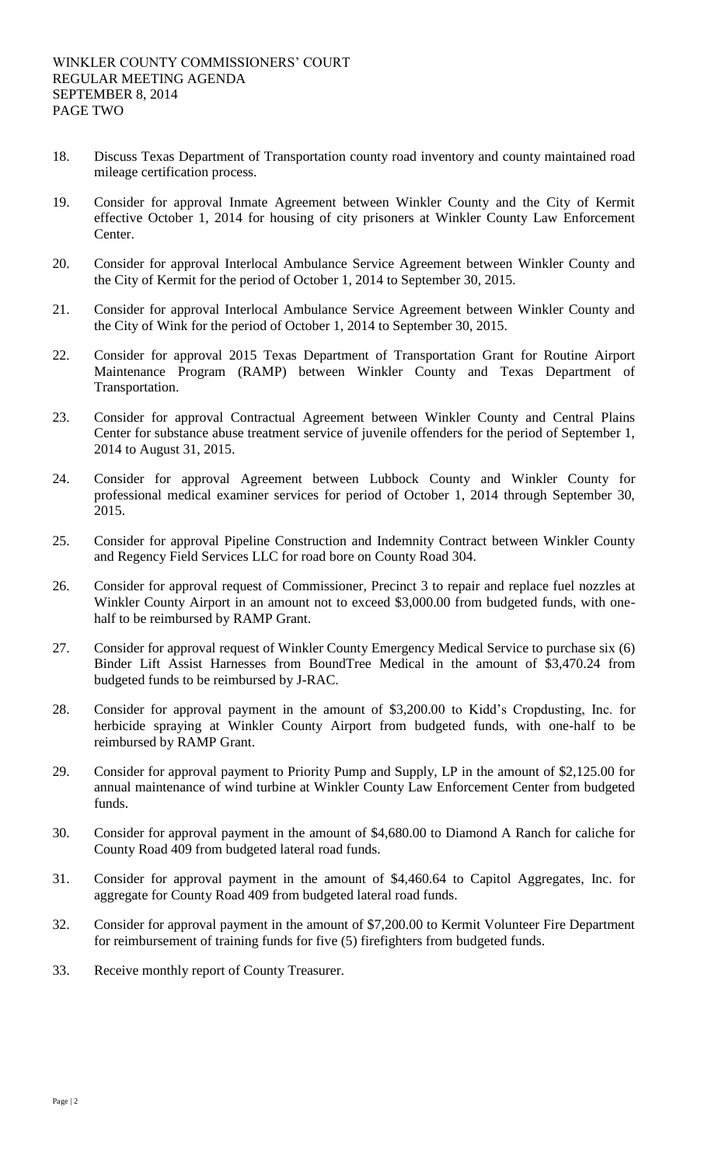- 18. Discuss Texas Department of Transportation county road inventory and county maintained road mileage certification process.
- 19. Consider for approval Inmate Agreement between Winkler County and the City of Kermit effective October 1, 2014 for housing of city prisoners at Winkler County Law Enforcement Center.
- 20. Consider for approval Interlocal Ambulance Service Agreement between Winkler County and the City of Kermit for the period of October 1, 2014 to September 30, 2015.
- 21. Consider for approval Interlocal Ambulance Service Agreement between Winkler County and the City of Wink for the period of October 1, 2014 to September 30, 2015.
- 22. Consider for approval 2015 Texas Department of Transportation Grant for Routine Airport Maintenance Program (RAMP) between Winkler County and Texas Department of Transportation.
- 23. Consider for approval Contractual Agreement between Winkler County and Central Plains Center for substance abuse treatment service of juvenile offenders for the period of September 1, 2014 to August 31, 2015.
- 24. Consider for approval Agreement between Lubbock County and Winkler County for professional medical examiner services for period of October 1, 2014 through September 30, 2015.
- 25. Consider for approval Pipeline Construction and Indemnity Contract between Winkler County and Regency Field Services LLC for road bore on County Road 304.
- 26. Consider for approval request of Commissioner, Precinct 3 to repair and replace fuel nozzles at Winkler County Airport in an amount not to exceed \$3,000.00 from budgeted funds, with onehalf to be reimbursed by RAMP Grant.
- 27. Consider for approval request of Winkler County Emergency Medical Service to purchase six (6) Binder Lift Assist Harnesses from BoundTree Medical in the amount of \$3,470.24 from budgeted funds to be reimbursed by J-RAC.
- 28. Consider for approval payment in the amount of \$3,200.00 to Kidd's Cropdusting, Inc. for herbicide spraying at Winkler County Airport from budgeted funds, with one-half to be reimbursed by RAMP Grant.
- 29. Consider for approval payment to Priority Pump and Supply, LP in the amount of \$2,125.00 for annual maintenance of wind turbine at Winkler County Law Enforcement Center from budgeted funds.
- 30. Consider for approval payment in the amount of \$4,680.00 to Diamond A Ranch for caliche for County Road 409 from budgeted lateral road funds.
- 31. Consider for approval payment in the amount of \$4,460.64 to Capitol Aggregates, Inc. for aggregate for County Road 409 from budgeted lateral road funds.
- 32. Consider for approval payment in the amount of \$7,200.00 to Kermit Volunteer Fire Department for reimbursement of training funds for five (5) firefighters from budgeted funds.
- 33. Receive monthly report of County Treasurer.